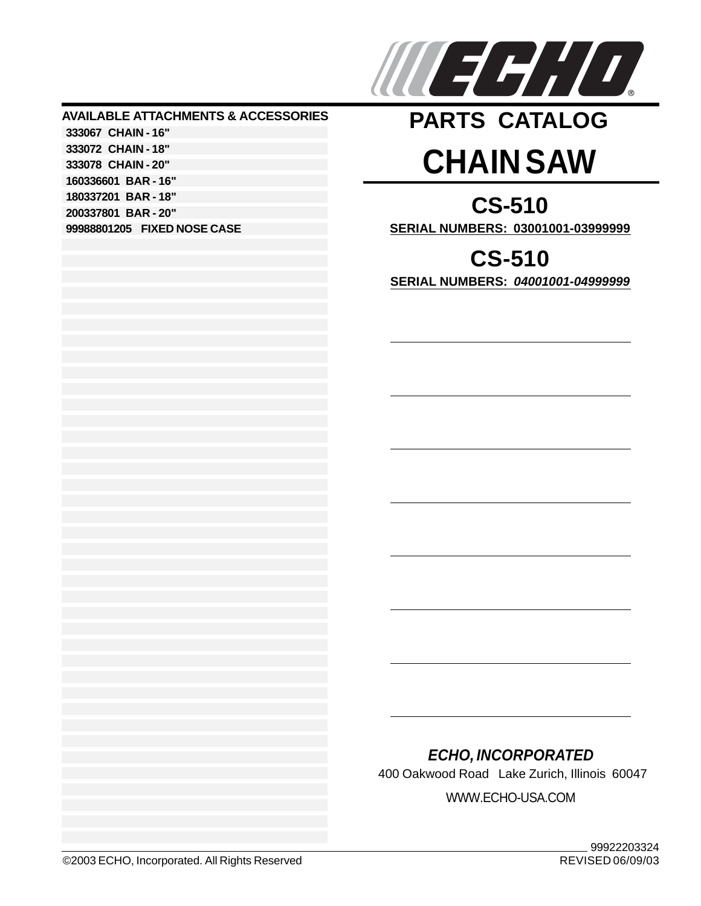

## **AVAILABLE ATTACHMENTS & ACCESSORIES 333067 CHAIN - 16" 333072 CHAIN - 18" 333078 CHAIN - 20" 160336601 BAR - 16" 180337201 BAR - 18" 200337801 BAR - 20" 99988801205 FIXED NOSE CASE**

## **CHAIN SAW PARTS CATALOG**

**CS-510 SERIAL NUMBERS: 03001001-03999999**

**CS-510 SERIAL NUMBERS:** *04001001-04999999*

## *ECHO, INCORPORATED*

400 Oakwood Road Lake Zurich, Illinois 60047

WWW.ECHO-USA.COM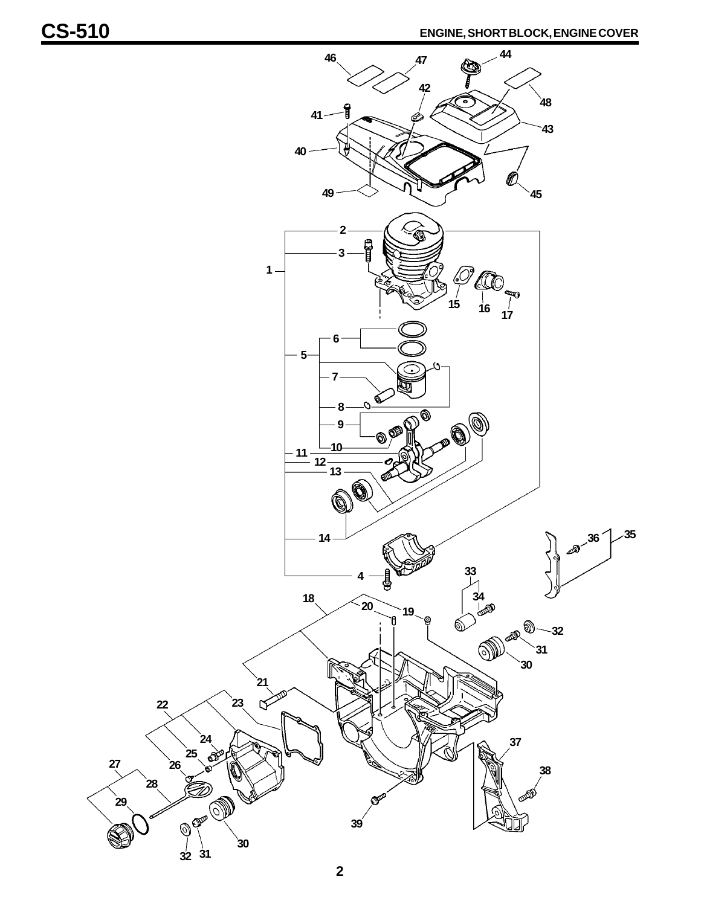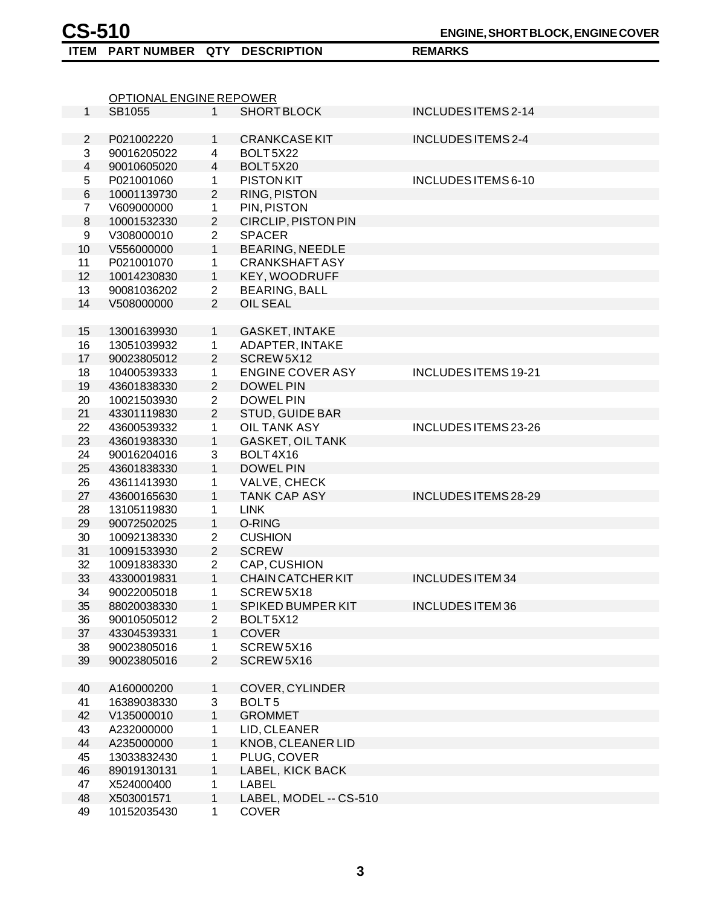$1<sup>1</sup>$ 2 3 4 5 6 7 8 9 10 11 12 13 14 15 16 17 18 19 20 21 22 23 24 25 26 27 28 29 30 31 32 33 34 35 36 37 38 39 40 41 42 43 44 45 OPTIONAL ENGINE REPOWER SB1055 1 SHORT BLOCK INCLUDES ITEMS 2-14 P021002220 1 CRANKCASE KIT INCLUDES ITEMS 2-4 90016205022 4 BOLT 5X22 90010605020 4 BOLT 5X20 P021001060 1 PISTON KIT INCLUDES ITEMS 6-10 10001139730 2 RING, PISTON V609000000 1 PIN, PISTON 10001532330 2 CIRCLIP, PISTON PIN V308000010 2 SPACER V556000000 1 BEARING, NEEDLE P021001070 1 CRANKSHAFT ASY 10014230830 1 KEY, WOODRUFF 90081036202 2 BEARING, BALL V508000000 2 OIL SEAL 13001639930 1 GASKET, INTAKE 13051039932 1 ADAPTER, INTAKE 90023805012 2 SCREW 5X12 10400539333 1 ENGINE COVER ASY INCLUDES ITEMS 19-21 43601838330 2 DOWEL PIN 10021503930 2 DOWEL PIN 43301119830 2 STUD, GUIDE BAR 43600539332 1 OIL TANK ASY INCLUDES ITEMS 23-26 43601938330 1 GASKET, OIL TANK 90016204016 3 BOLT 4X16 43601838330 1 DOWEL PIN 43611413930 1 VALVE, CHECK 43600165630 1 TANK CAP ASY INCLUDES ITEMS 28-29 13105119830 1 LINK 90072502025 1 O-RING 10092138330 2 CUSHION 10091533930 2 SCREW 10091838330 2 CAP, CUSHION 43300019831 1 CHAIN CATCHER KIT INCLUDES ITEM 34 90022005018 1 SCREW 5X18 88020038330 1 SPIKED BUMPER KIT INCLUDES ITEM 36 90010505012 2 BOLT 5X12 43304539331 1 COVER 90023805016 1 SCREW 5X16 90023805016 2 SCREW 5X16 A160000200 1 COVER, CYLINDER 16389038330 3 BOLT 5 V135000010 1 GROMMET A232000000 1 LID, CLEANER A235000000 1 KNOB, CLEANER LID 13033832430 1 PLUG, COVER

X524000400 1 LABEL

89019130131 1 LABEL, KICK BACK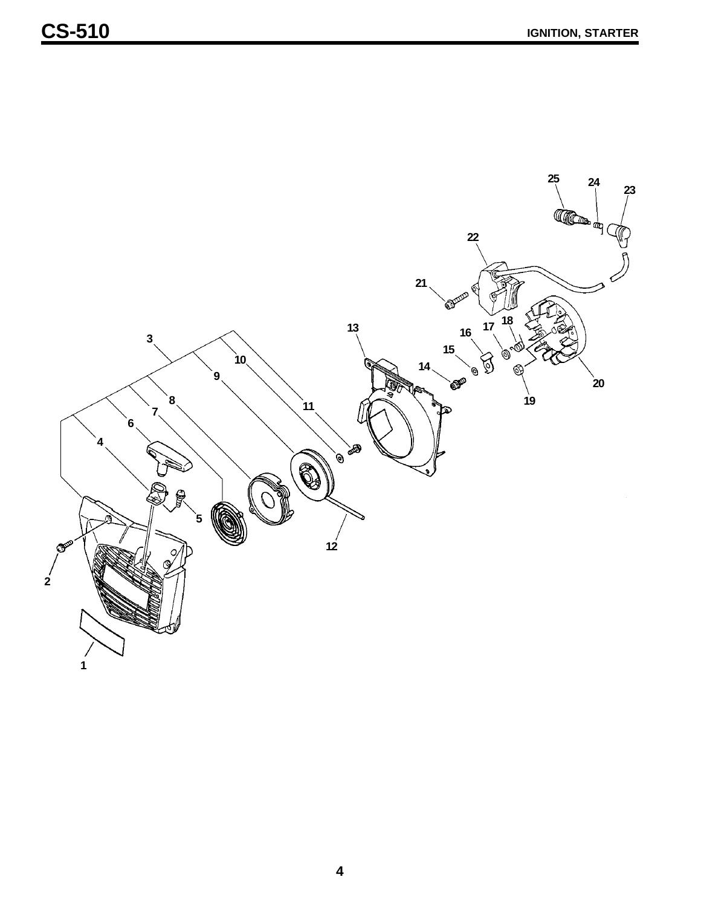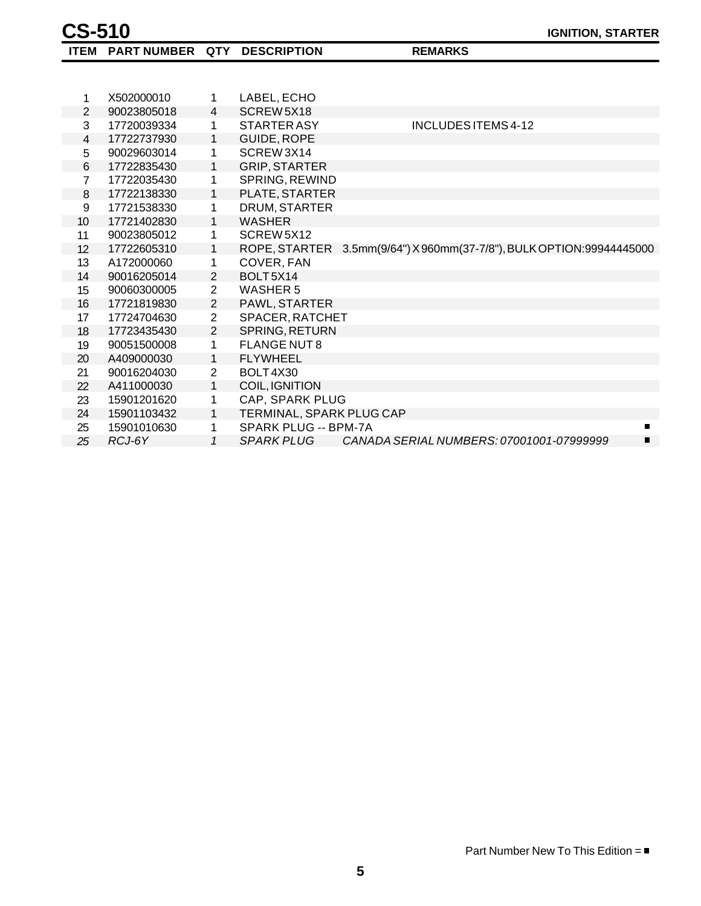| 1              | X502000010  | 1              | LABEL, ECHO                                                          |
|----------------|-------------|----------------|----------------------------------------------------------------------|
| $\overline{2}$ | 90023805018 | 4              | SCREW5X18                                                            |
| 3              | 17720039334 | 1              | INCLUDES ITEMS 4-12<br>STARTER ASY                                   |
| 4              | 17722737930 | 1              | GUIDE, ROPE                                                          |
| 5              | 90029603014 | 1              | SCREW3X14                                                            |
| 6              | 17722835430 | 1              | <b>GRIP, STARTER</b>                                                 |
| $\overline{7}$ | 17722035430 | 1              | SPRING, REWIND                                                       |
| 8              | 17722138330 | 1              | PLATE, STARTER                                                       |
| 9              | 17721538330 | 1              | DRUM, STARTER                                                        |
| 10             | 17721402830 | $\mathbf{1}$   | <b>WASHER</b>                                                        |
| 11             | 90023805012 | 1              | SCREW5X12                                                            |
| 12             | 17722605310 | 1              | ROPE, STARTER 3.5mm(9/64") X 960mm(37-7/8"), BULK OPTION:99944445000 |
| 13             | A172000060  | 1              | COVER, FAN                                                           |
| 14             | 90016205014 | $\overline{2}$ | BOLT5X14                                                             |
| 15             | 90060300005 | $\overline{2}$ | <b>WASHER 5</b>                                                      |
| 16             | 17721819830 | $\overline{2}$ | PAWL, STARTER                                                        |
| 17             | 17724704630 | $\overline{2}$ | SPACER, RATCHET                                                      |
| 18             | 17723435430 | $\overline{2}$ | SPRING, RETURN                                                       |
| 19             | 90051500008 | 1              | <b>FLANGE NUT 8</b>                                                  |
| 20             | A409000030  | $\mathbf{1}$   | <b>FLYWHEEL</b>                                                      |
| 21             | 90016204030 | $\overline{2}$ | BOLT4X30                                                             |
| 22             | A411000030  | 1              | COIL, IGNITION                                                       |
| 23             | 15901201620 | 1              | CAP, SPARK PLUG                                                      |
| 24             | 15901103432 | $\mathbf{1}$   | TERMINAL, SPARK PLUG CAP                                             |
| 25             | 15901010630 | 1              | SPARK PLUG -- BPM-7A                                                 |
| 25             | RCJ-6Y      | $\mathcal I$   | CANADA SERIAL NUMBERS: 07001001-07999999<br>SPARK PLUG               |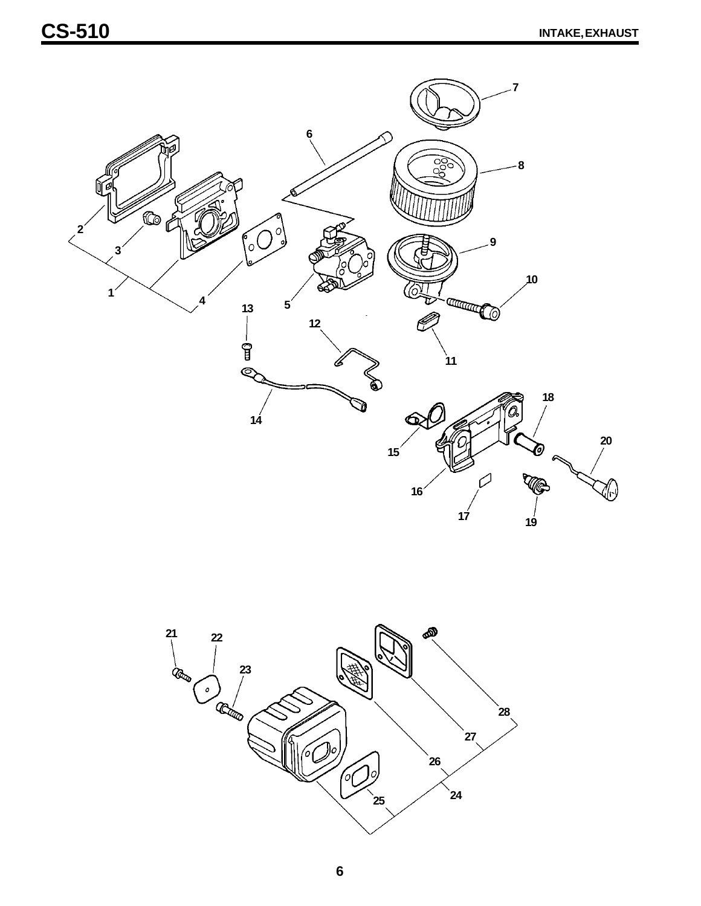

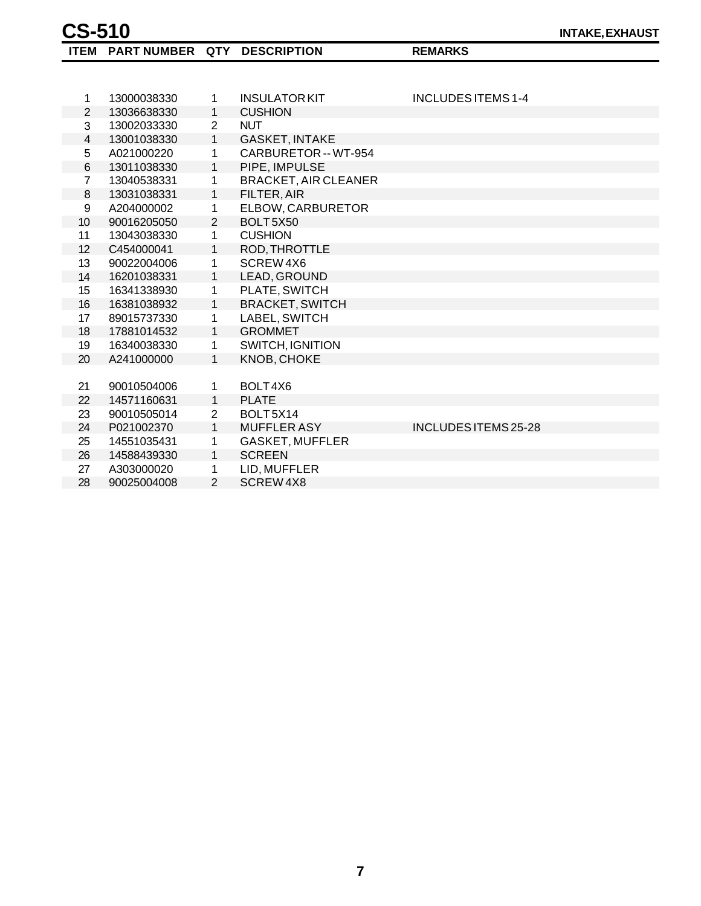| <b>CS-510</b> |                                |  |
|---------------|--------------------------------|--|
|               | ITEM PARTNUMBER QTY DESCRIPTIC |  |

*REMARKS* 

| 1              | 13000038330 | 1              | <b>INSULATOR KIT</b>              | <b>INCLUDES ITEMS 1-4</b> |
|----------------|-------------|----------------|-----------------------------------|---------------------------|
| $\overline{2}$ | 13036638330 | 1              | <b>CUSHION</b>                    |                           |
| $\mathbf{3}$   | 13002033330 | $\overline{2}$ | <b>NUT</b>                        |                           |
| $\overline{4}$ | 13001038330 | 1              | <b>GASKET, INTAKE</b>             |                           |
| 5              | A021000220  | 1              | CARBURETOR -- WT-954              |                           |
| $\,6$          | 13011038330 | 1              | PIPE, IMPULSE                     |                           |
| $\overline{7}$ | 13040538331 | 1              | <b>BRACKET, AIR CLEANER</b>       |                           |
| 8              | 13031038331 | 1              | FILTER, AIR                       |                           |
| 9              | A204000002  | 1              | ELBOW, CARBURETOR                 |                           |
| 10             | 90016205050 | $\overline{2}$ | BOLT <sub>5</sub> X <sub>50</sub> |                           |
| 11             | 13043038330 | 1              | <b>CUSHION</b>                    |                           |
| 12             | C454000041  | 1              | ROD, THROTTLE                     |                           |
| 13             | 90022004006 | 1              | SCREW4X6                          |                           |
| 14             | 16201038331 | 1              | LEAD, GROUND                      |                           |
| 15             | 16341338930 | 1              | PLATE, SWITCH                     |                           |
| 16             | 16381038932 | 1              | <b>BRACKET, SWITCH</b>            |                           |
| 17             | 89015737330 | 1              | LABEL, SWITCH                     |                           |
| 18             | 17881014532 | 1              | <b>GROMMET</b>                    |                           |
| 19             | 16340038330 | 1              | <b>SWITCH, IGNITION</b>           |                           |
| 20             | A241000000  | 1              | KNOB, CHOKE                       |                           |
|                |             |                |                                   |                           |
| 21             | 90010504006 | 1              | BOLT4X6                           |                           |
| 22             | 14571160631 | 1              | <b>PLATE</b>                      |                           |
| 23             | 90010505014 | 2              | BOLT5X14                          |                           |
| 24             | P021002370  | $\mathbf{1}$   | <b>MUFFLER ASY</b>                | INCLUDES ITEMS 25-28      |
| 25             | 14551035431 | 1              | <b>GASKET, MUFFLER</b>            |                           |
| 26             | 14588439330 | $\mathbf{1}$   | <b>SCREEN</b>                     |                           |
| 27             | A303000020  | 1              | LID, MUFFLER                      |                           |
| 28             | 90025004008 | $\overline{2}$ | SCREW4X8                          |                           |
|                |             |                |                                   |                           |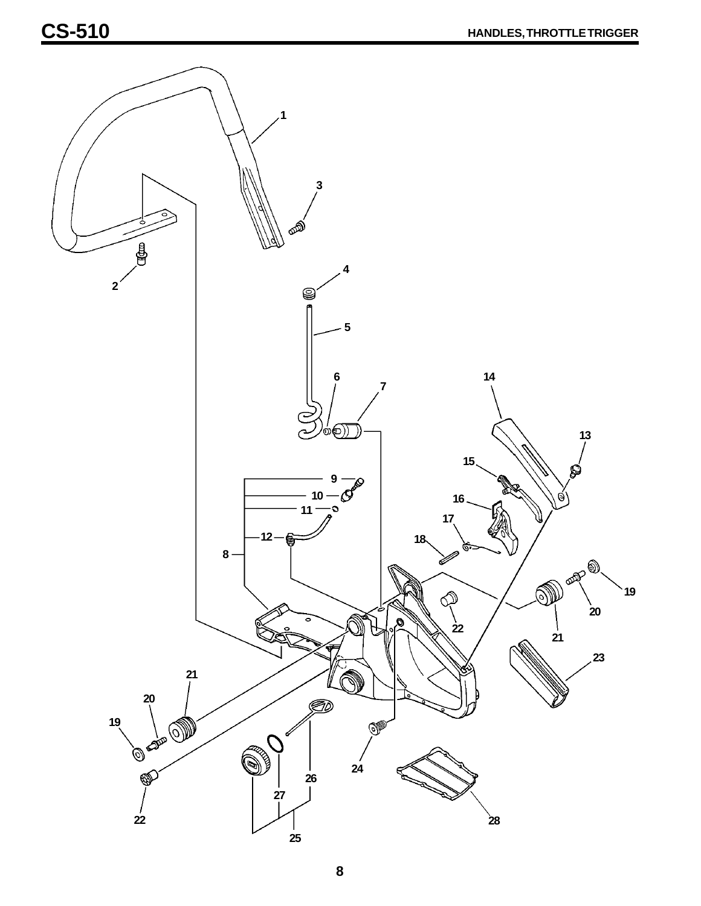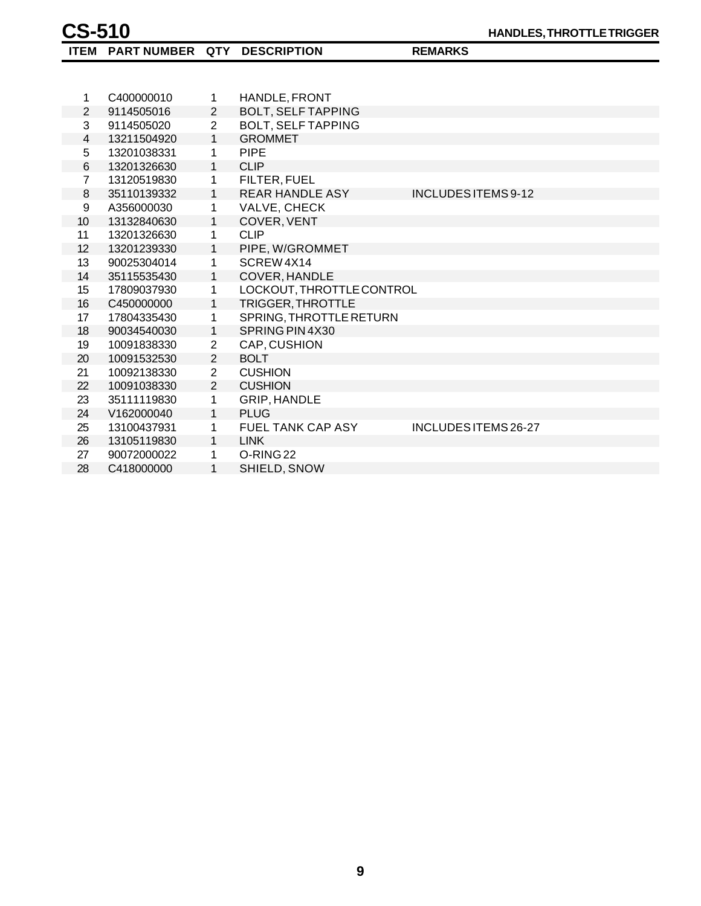**ITEM PART NUMBER QTY DESCRIPTION REMARKS**

| 1                | C400000010  | 1              | HANDLE, FRONT             |                      |
|------------------|-------------|----------------|---------------------------|----------------------|
| $\overline{2}$   | 9114505016  | $\overline{2}$ | <b>BOLT, SELF TAPPING</b> |                      |
| 3                | 9114505020  | $\overline{2}$ | <b>BOLT, SELF TAPPING</b> |                      |
| 4                | 13211504920 | $\mathbf{1}$   | <b>GROMMET</b>            |                      |
| 5                | 13201038331 | 1              | <b>PIPE</b>               |                      |
| 6                | 13201326630 | $\mathbf{1}$   | <b>CLIP</b>               |                      |
| $\overline{7}$   | 13120519830 | 1              | FILTER, FUEL              |                      |
| $\,8\,$          | 35110139332 | $\mathbf{1}$   | <b>REAR HANDLE ASY</b>    | INCLUDES ITEMS 9-12  |
| $\boldsymbol{9}$ | A356000030  | $\mathbf{1}$   | VALVE, CHECK              |                      |
| 10               | 13132840630 | 1              | COVER, VENT               |                      |
| 11               | 13201326630 | 1              | <b>CLIP</b>               |                      |
| 12 <sup>2</sup>  | 13201239330 | $\mathbf{1}$   | PIPE, W/GROMMET           |                      |
| 13               | 90025304014 | 1              | SCREW4X14                 |                      |
| 14               | 35115535430 | $\mathbf{1}$   | COVER, HANDLE             |                      |
| 15               | 17809037930 | 1              | LOCKOUT, THROTTLE CONTROL |                      |
| 16               | C450000000  | 1              | <b>TRIGGER, THROTTLE</b>  |                      |
| 17               | 17804335430 | 1              | SPRING, THROTTLE RETURN   |                      |
| 18               | 90034540030 | 1              | SPRING PIN 4X30           |                      |
| 19               | 10091838330 | $\overline{2}$ | CAP, CUSHION              |                      |
| 20               | 10091532530 | $\overline{2}$ | <b>BOLT</b>               |                      |
| 21               | 10092138330 | $\overline{2}$ | <b>CUSHION</b>            |                      |
| 22               | 10091038330 | $\overline{2}$ | <b>CUSHION</b>            |                      |
| 23               | 35111119830 | 1              | GRIP, HANDLE              |                      |
| 24               | V162000040  | $\mathbf{1}$   | <b>PLUG</b>               |                      |
| 25               | 13100437931 | 1              | FUEL TANK CAP ASY         | INCLUDES ITEMS 26-27 |
| 26               | 13105119830 | 1              | <b>LINK</b>               |                      |
| 27               | 90072000022 | 1              | O-RING <sub>22</sub>      |                      |
| 28               | C418000000  | 1              | SHIELD, SNOW              |                      |
|                  |             |                |                           |                      |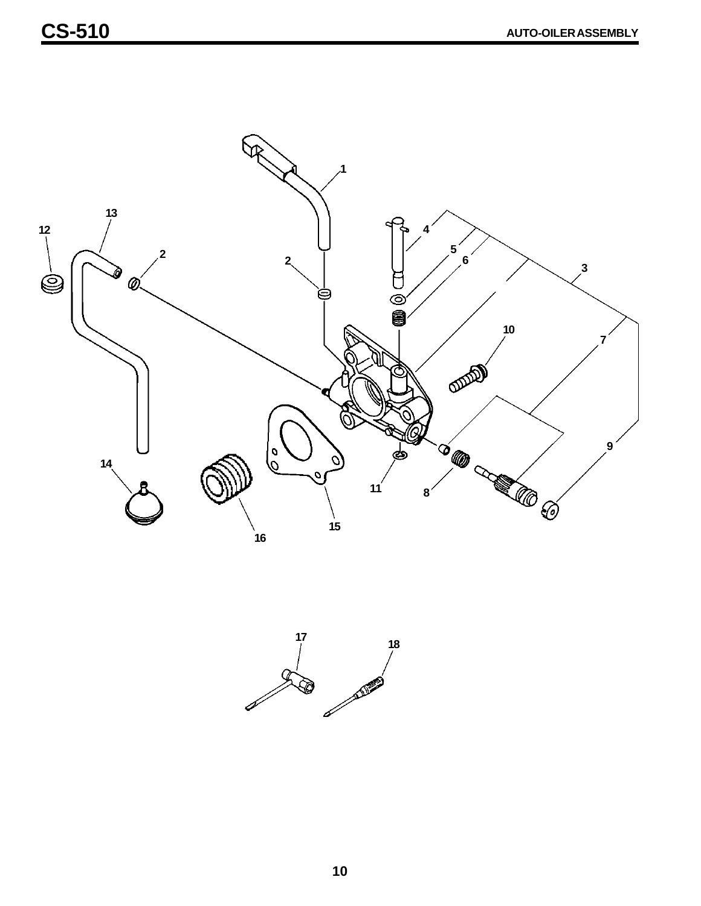

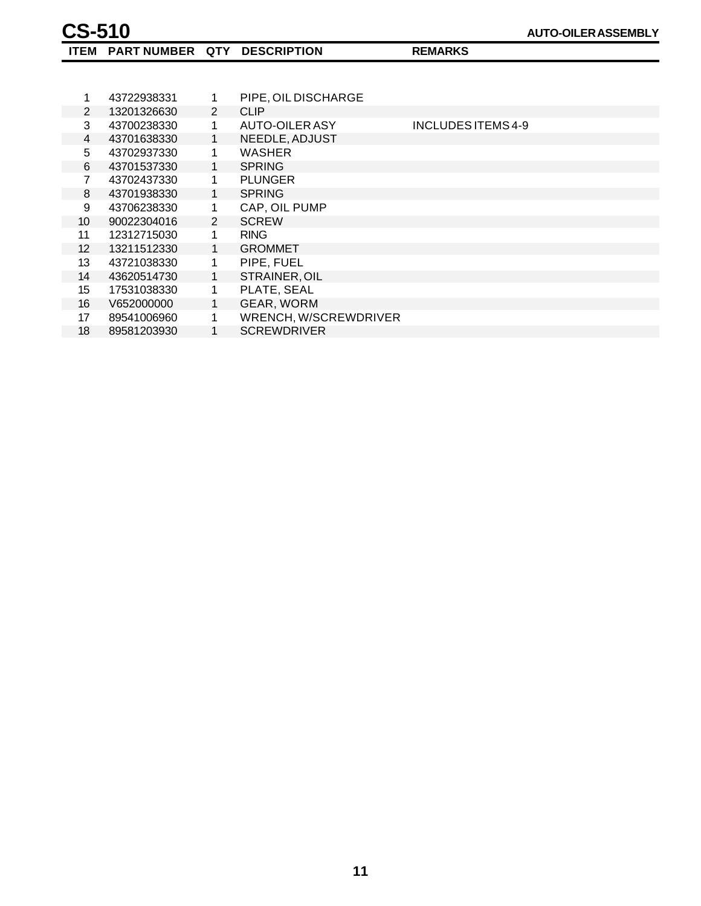| 1                 | 43722938331 | 1 | PIPE, OIL DISCHARGE   |                    |
|-------------------|-------------|---|-----------------------|--------------------|
| 2                 | 13201326630 | 2 | <b>CLIP</b>           |                    |
| 3                 | 43700238330 | 1 | <b>AUTO-OILER ASY</b> | INCLUDES ITEMS 4-9 |
| $\overline{4}$    | 43701638330 | 1 | NEEDLE, ADJUST        |                    |
| 5                 | 43702937330 | 1 | <b>WASHER</b>         |                    |
| 6                 | 43701537330 | 1 | <b>SPRING</b>         |                    |
| 7                 | 43702437330 | 1 | <b>PLUNGER</b>        |                    |
| 8                 | 43701938330 | 1 | <b>SPRING</b>         |                    |
| 9                 | 43706238330 | 1 | CAP, OIL PUMP         |                    |
| 10 <sup>°</sup>   | 90022304016 | 2 | <b>SCREW</b>          |                    |
| 11                | 12312715030 | 1 | <b>RING</b>           |                    |
| $12 \overline{ }$ | 13211512330 | 1 | <b>GROMMET</b>        |                    |
| 13                | 43721038330 | 1 | PIPE, FUEL            |                    |
| 14                | 43620514730 | 1 | STRAINER, OIL         |                    |
| 15 <sup>15</sup>  | 17531038330 | 1 | PLATE, SEAL           |                    |
| 16                | V652000000  | 1 | GEAR, WORM            |                    |
| 17                | 89541006960 | 1 | WRENCH, W/SCREWDRIVER |                    |
| 18                | 89581203930 | 1 | <b>SCREWDRIVER</b>    |                    |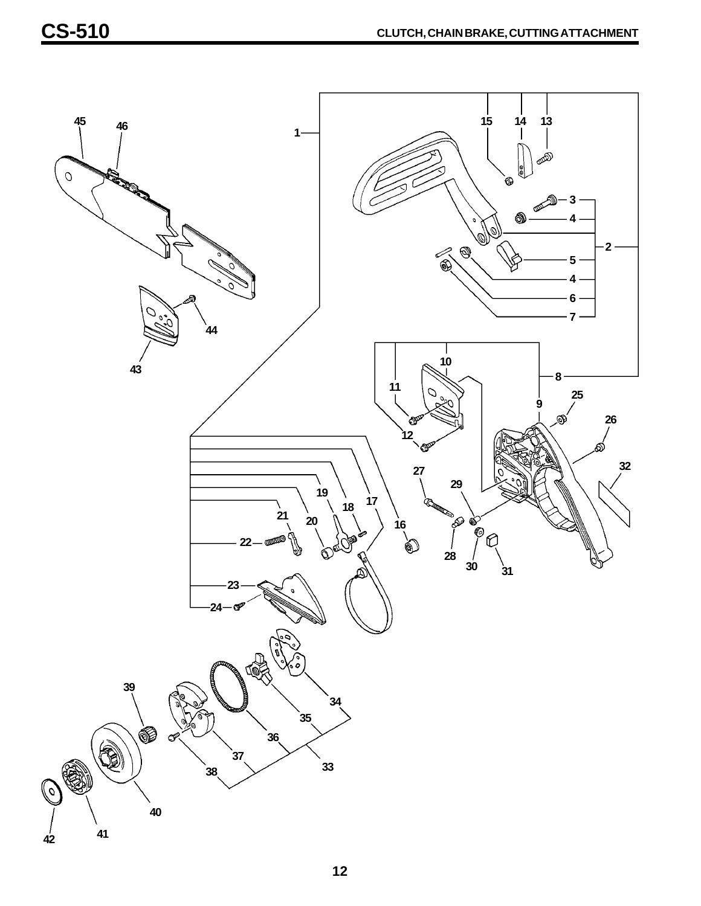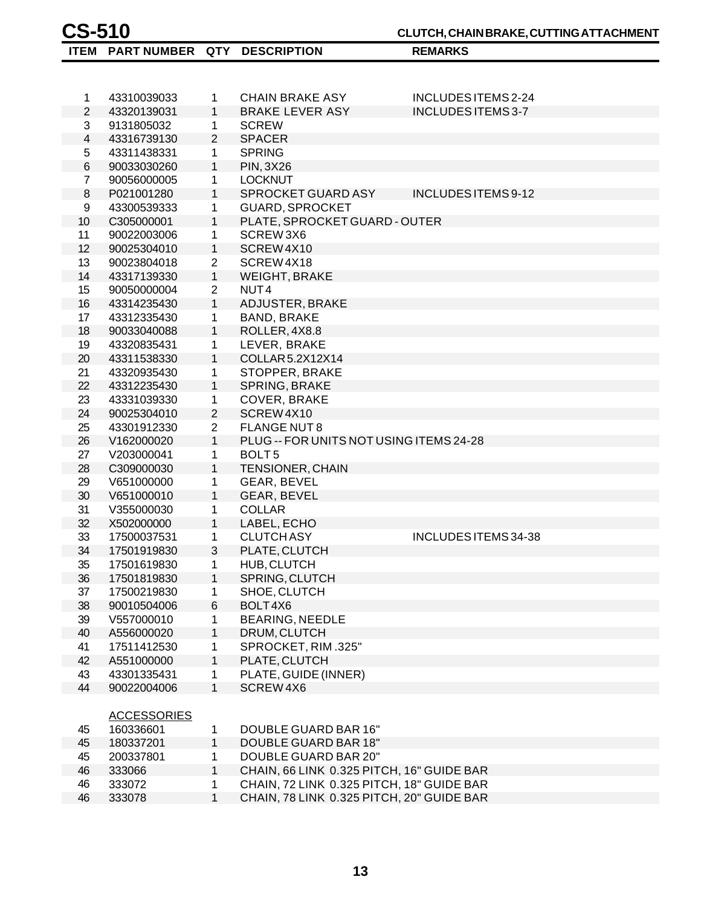|                     |                           |                   | <b>CHAIN BRAKE ASY</b>                    |                                           |
|---------------------|---------------------------|-------------------|-------------------------------------------|-------------------------------------------|
| 1                   | 43310039033               | 1<br>$\mathbf{1}$ | <b>BRAKE LEVER ASY</b>                    | INCLUDES ITEMS 2-24<br>INCLUDES ITEMS 3-7 |
| $\overline{2}$<br>3 | 43320139031<br>9131805032 | 1                 | <b>SCREW</b>                              |                                           |
| 4                   | 43316739130               | $\overline{2}$    | <b>SPACER</b>                             |                                           |
| 5                   | 43311438331               | 1                 | <b>SPRING</b>                             |                                           |
| 6                   | 90033030260               | $\mathbf{1}$      | <b>PIN, 3X26</b>                          |                                           |
| $\overline{7}$      | 90056000005               | 1                 | <b>LOCKNUT</b>                            |                                           |
| 8                   | P021001280                | $\mathbf{1}$      | SPROCKET GUARD ASY                        | INCLUDES ITEMS 9-12                       |
| 9                   | 43300539333               | 1                 | <b>GUARD, SPROCKET</b>                    |                                           |
| 10                  | C305000001                | $\mathbf{1}$      | PLATE, SPROCKET GUARD - OUTER             |                                           |
| 11                  | 90022003006               | 1                 | SCREW3X6                                  |                                           |
| 12                  | 90025304010               | $\mathbf{1}$      | SCREW4X10                                 |                                           |
| 13                  | 90023804018               | 2                 | SCREW4X18                                 |                                           |
| 14                  | 43317139330               | $\mathbf{1}$      | <b>WEIGHT, BRAKE</b>                      |                                           |
| 15                  | 90050000004               | $\overline{2}$    | NUT <sub>4</sub>                          |                                           |
| 16                  | 43314235430               | $\mathbf{1}$      | ADJUSTER, BRAKE                           |                                           |
| 17                  |                           |                   | <b>BAND, BRAKE</b>                        |                                           |
|                     | 43312335430               | 1<br>$\mathbf{1}$ | ROLLER, 4X8.8                             |                                           |
| 18                  | 90033040088               |                   | LEVER, BRAKE                              |                                           |
| 19<br>20            | 43320835431               | 1<br>$\mathbf{1}$ | COLLAR 5.2X12X14                          |                                           |
|                     | 43311538330               |                   |                                           |                                           |
| 21                  | 43320935430               | 1                 | STOPPER, BRAKE                            |                                           |
| 22                  | 43312235430               | $\mathbf{1}$      | SPRING, BRAKE                             |                                           |
| 23                  | 43331039330               | $\mathbf 1$       | COVER, BRAKE                              |                                           |
| 24                  | 90025304010               | $\overline{2}$    | SCREW4X10                                 |                                           |
| 25                  | 43301912330               | $\overline{2}$    | <b>FLANGE NUT8</b>                        |                                           |
| 26                  | V162000020                | $\mathbf{1}$      | PLUG -- FOR UNITS NOT USING ITEMS 24-28   |                                           |
| 27                  | V203000041                | 1                 | BOLT <sub>5</sub>                         |                                           |
| 28                  | C309000030                | $\mathbf{1}$      | <b>TENSIONER, CHAIN</b>                   |                                           |
| 29                  | V651000000                | 1                 | GEAR, BEVEL                               |                                           |
| 30                  | V651000010                | 1                 | GEAR, BEVEL                               |                                           |
| 31                  | V355000030                | 1                 | <b>COLLAR</b>                             |                                           |
| 32                  | X502000000                | $\mathbf{1}$      | LABEL, ECHO                               |                                           |
| 33                  | 17500037531               | 1                 | <b>CLUTCH ASY</b>                         | INCLUDES ITEMS 34-38                      |
| 34                  | 17501919830               | 3                 | PLATE, CLUTCH                             |                                           |
| 35                  | 17501619830               | 1                 | HUB, CLUTCH                               |                                           |
| 36                  | 17501819830               | 1                 | SPRING, CLUTCH                            |                                           |
| 37                  | 17500219830               | 1                 | SHOE, CLUTCH                              |                                           |
| 38                  | 90010504006               | 6                 | BOLT4X6                                   |                                           |
| 39                  | V557000010                | 1                 | <b>BEARING, NEEDLE</b>                    |                                           |
| 40                  | A556000020                | 1                 | DRUM, CLUTCH                              |                                           |
| 41                  | 17511412530               | 1                 | SPROCKET, RIM.325"                        |                                           |
| 42                  | A551000000                | $\mathbf{1}$      | PLATE, CLUTCH                             |                                           |
| 43                  | 43301335431               | 1                 | PLATE, GUIDE (INNER)                      |                                           |
| 44                  | 90022004006               | $\mathbf{1}$      | SCREW4X6                                  |                                           |
|                     |                           |                   |                                           |                                           |
|                     | <b>ACCESSORIES</b>        |                   |                                           |                                           |
| 45                  | 160336601                 | 1                 | DOUBLE GUARD BAR 16"                      |                                           |
| 45                  | 180337201                 | $\mathbf{1}$      | <b>DOUBLE GUARD BAR 18"</b>               |                                           |
| 45                  | 200337801                 | 1                 | <b>DOUBLE GUARD BAR 20"</b>               |                                           |
| 46                  | 333066                    | $\mathbf{1}$      | CHAIN, 66 LINK 0.325 PITCH, 16" GUIDE BAR |                                           |
| 46                  | 333072                    | 1                 | CHAIN, 72 LINK 0.325 PITCH, 18" GUIDE BAR |                                           |
| 46                  | 333078                    | $\mathbf{1}$      | CHAIN, 78 LINK 0.325 PITCH, 20" GUIDE BAR |                                           |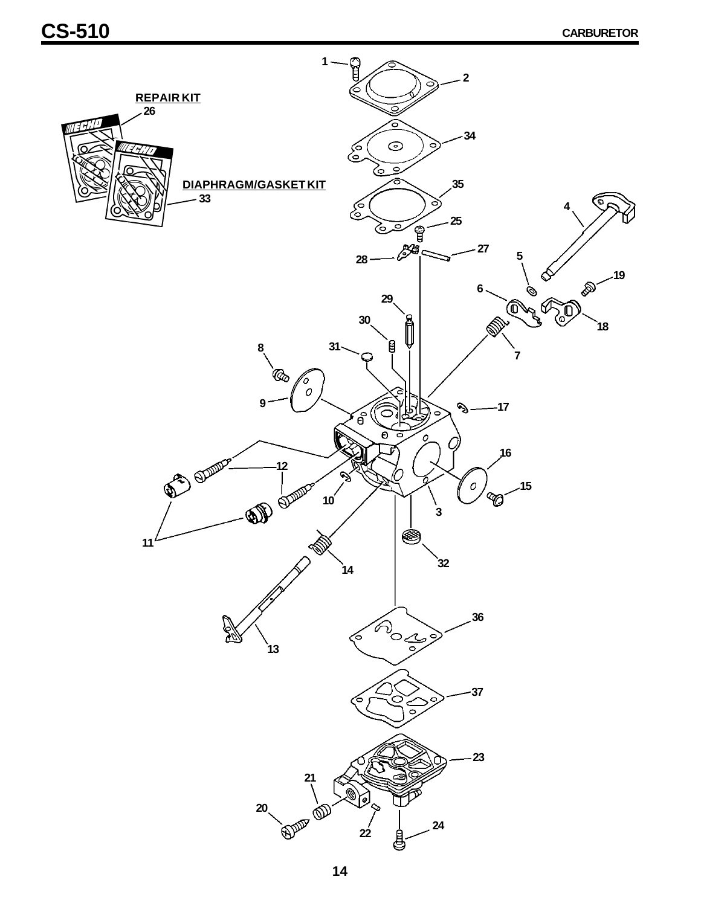